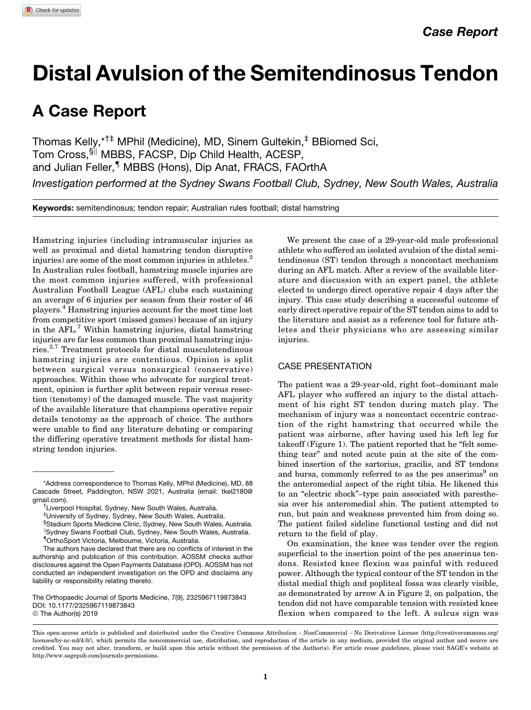# Distal Avulsion of the Semitendinosus Tendon

# A Case Report

Thomas Kelly,\*†‡ MPhil (Medicine), MD, Sinem Gultekin,‡ BBiomed Sci, Tom Cross, SI MBBS, FACSP, Dip Child Health, ACESP, and Julian Feller,<sup>¶</sup> MBBS (Hons), Dip Anat, FRACS, FAOrthA

Investigation performed at the Sydney Swans Football Club, Sydney, New South Wales, Australia

Keywords: semitendinosus; tendon repair; Australian rules football; distal hamstring

Hamstring injuries (including intramuscular injuries as well as proximal and distal hamstring tendon disruptive injuries) are some of the most common injuries in athletes.<sup>2</sup> In Australian rules football, hamstring muscle injuries are the most common injuries suffered, with professional Australian Football League (AFL) clubs each sustaining an average of 6 injuries per season from their roster of 46 players.<sup>4</sup> Hamstring injuries account for the most time lost from competitive sport (missed games) because of an injury in the AFL.<sup>7</sup> Within hamstring injuries, distal hamstring injuries are far less common than proximal hamstring injuries.2,7 Treatment protocols for distal musculotendinous hamstring injuries are contentious. Opinion is split between surgical versus nonsurgical (conservative) approaches. Within those who advocate for surgical treatment, opinion is further split between repair versus resection (tenotomy) of the damaged muscle. The vast majority of the available literature that champions operative repair details tenotomy as the approach of choice. The authors were unable to find any literature debating or comparing the differing operative treatment methods for distal hamstring tendon injuries.

§ Stadium Sports Medicine Clinic, Sydney, New South Wales, Australia. <sup>II</sup>Sydney Swans Football Club, Sydney, New South Wales, Australia. { OrthoSport Victoria, Melbourne, Victoria, Australia.

The Orthopaedic Journal of Sports Medicine, 7(9), 2325967119873843 [DOI: 10.1177/2325967119873843](https://doi.org/10.1177/2325967119873843) © The Author(s) 2019

We present the case of a 29-year-old male professional athlete who suffered an isolated avulsion of the distal semitendinosus (ST) tendon through a noncontact mechanism during an AFL match. After a review of the available literature and discussion with an expert panel, the athlete elected to undergo direct operative repair 4 days after the injury. This case study describing a successful outcome of early direct operative repair of the ST tendon aims to add to the literature and assist as a reference tool for future athletes and their physicians who are assessing similar injuries.

## CASE PRESENTATION

The patient was a 29-year-old, right foot–dominant male AFL player who suffered an injury to the distal attachment of his right ST tendon during match play. The mechanism of injury was a noncontact eccentric contraction of the right hamstring that occurred while the patient was airborne, after having used his left leg for takeoff (Figure 1). The patient reported that he "felt something tear" and noted acute pain at the site of the combined insertion of the sartorius, gracilis, and ST tendons and bursa, commonly referred to as the pes anserinus<sup>9</sup> on the anteromedial aspect of the right tibia. He likened this to an "electric shock"–type pain associated with paresthesia over his anteromedial shin. The patient attempted to run, but pain and weakness prevented him from doing so. The patient failed sideline functional testing and did not return to the field of play.

On examination, the knee was tender over the region superficial to the insertion point of the pes anserinus tendons. Resisted knee flexion was painful with reduced power. Although the typical contour of the ST tendon in the distal medial thigh and popliteal fossa was clearly visible, as demonstrated by arrow A in Figure 2, on palpation, the tendon did not have comparable tension with resisted knee flexion when compared to the left. A sulcus sign was

<sup>\*</sup>Address correspondence to Thomas Kelly, MPhil (Medicine), MD, 88 Cascade Street, Paddington, NSW 2021, Australia (email: [tkel2180@](mailto:tkel2180@gmail.com) [gmail.com\)](mailto:tkel2180@gmail.com). †

<sup>&</sup>lt;sup>†</sup>Liverpool Hospital, Sydney, New South Wales, Australia.

<sup>‡</sup> University of Sydney, Sydney, New South Wales, Australia.

The authors have declared that there are no conflicts of interest in the authorship and publication of this contribution. AOSSM checks author disclosures against the Open Payments Database (OPD). AOSSM has not conducted an independent investigation on the OPD and disclaims any liability or responsibility relating thereto.

This open-access article is published and distributed under the Creative Commons Attribution - NonCommercial - No Derivatives License (http://creativecommons.org/ licenses/by-nc-nd/4.0/), which permits the noncommercial use, distribution, and reproduction of the article in any medium, provided the original author and source are credited. You may not alter, transform, or build upon this article without the permission of the Author(s). For article reuse guidelines, please visit SAGE's website at http://www.sagepub.com/journals-permissions.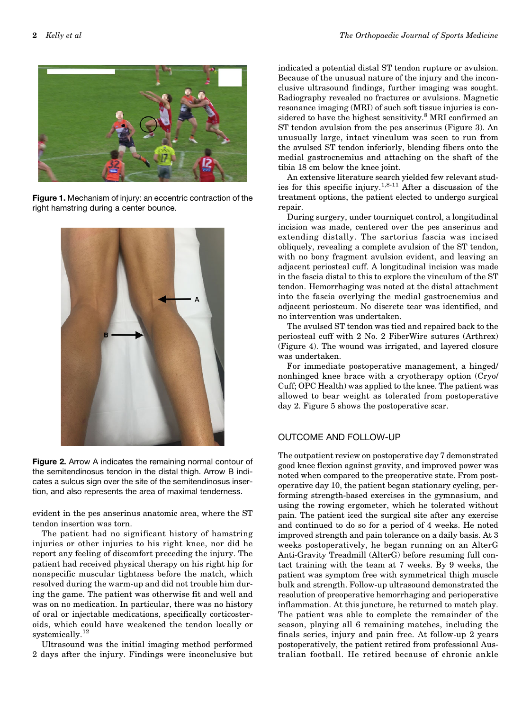

Figure 1. Mechanism of injury: an eccentric contraction of the right hamstring during a center bounce.



Figure 2. Arrow A indicates the remaining normal contour of the semitendinosus tendon in the distal thigh. Arrow B indicates a sulcus sign over the site of the semitendinosus insertion, and also represents the area of maximal tenderness.

evident in the pes anserinus anatomic area, where the ST tendon insertion was torn.

The patient had no significant history of hamstring injuries or other injuries to his right knee, nor did he report any feeling of discomfort preceding the injury. The patient had received physical therapy on his right hip for nonspecific muscular tightness before the match, which resolved during the warm-up and did not trouble him during the game. The patient was otherwise fit and well and was on no medication. In particular, there was no history of oral or injectable medications, specifically corticosteroids, which could have weakened the tendon locally or systemically.<sup>12</sup>

Ultrasound was the initial imaging method performed 2 days after the injury. Findings were inconclusive but indicated a potential distal ST tendon rupture or avulsion. Because of the unusual nature of the injury and the inconclusive ultrasound findings, further imaging was sought. Radiography revealed no fractures or avulsions. Magnetic resonance imaging (MRI) of such soft tissue injuries is considered to have the highest sensitivity.<sup>8</sup> MRI confirmed an ST tendon avulsion from the pes anserinus (Figure 3). An unusually large, intact vinculum was seen to run from the avulsed ST tendon inferiorly, blending fibers onto the medial gastrocnemius and attaching on the shaft of the tibia 18 cm below the knee joint.

An extensive literature search yielded few relevant studies for this specific injury.<sup>1,8-11</sup> After a discussion of the treatment options, the patient elected to undergo surgical repair.

During surgery, under tourniquet control, a longitudinal incision was made, centered over the pes anserinus and extending distally. The sartorius fascia was incised obliquely, revealing a complete avulsion of the ST tendon, with no bony fragment avulsion evident, and leaving an adjacent periosteal cuff. A longitudinal incision was made in the fascia distal to this to explore the vinculum of the ST tendon. Hemorrhaging was noted at the distal attachment into the fascia overlying the medial gastrocnemius and adjacent periosteum. No discrete tear was identified, and no intervention was undertaken.

The avulsed ST tendon was tied and repaired back to the periosteal cuff with 2 No. 2 FiberWire sutures (Arthrex) (Figure 4). The wound was irrigated, and layered closure was undertaken.

For immediate postoperative management, a hinged/ nonhinged knee brace with a cryotherapy option (Cryo/ Cuff; OPC Health) was applied to the knee. The patient was allowed to bear weight as tolerated from postoperative day 2. Figure 5 shows the postoperative scar.

### OUTCOME AND FOLLOW-UP

The outpatient review on postoperative day 7 demonstrated good knee flexion against gravity, and improved power was noted when compared to the preoperative state. From postoperative day 10, the patient began stationary cycling, performing strength-based exercises in the gymnasium, and using the rowing ergometer, which he tolerated without pain. The patient iced the surgical site after any exercise and continued to do so for a period of 4 weeks. He noted improved strength and pain tolerance on a daily basis. At 3 weeks postoperatively, he began running on an AlterG Anti-Gravity Treadmill (AlterG) before resuming full contact training with the team at 7 weeks. By 9 weeks, the patient was symptom free with symmetrical thigh muscle bulk and strength. Follow-up ultrasound demonstrated the resolution of preoperative hemorrhaging and perioperative inflammation. At this juncture, he returned to match play. The patient was able to complete the remainder of the season, playing all 6 remaining matches, including the finals series, injury and pain free. At follow-up 2 years postoperatively, the patient retired from professional Australian football. He retired because of chronic ankle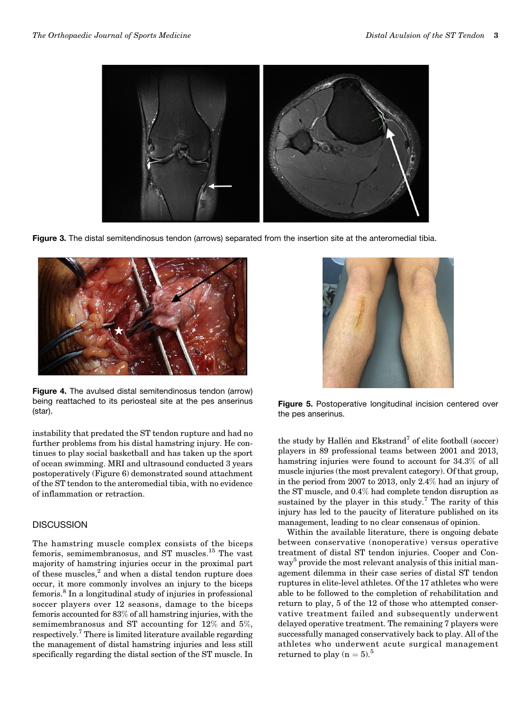

Figure 3. The distal semitendinosus tendon (arrows) separated from the insertion site at the anteromedial tibia.



Figure 4. The avulsed distal semitendinosus tendon (arrow) being reattached to its periosteal site at the pes anserinus being reattached to its periosteal site at the pes anserinus<br>(star). Figure 5. Postoperative longitudinal incision centered over

instability that predated the ST tendon rupture and had no further problems from his distal hamstring injury. He continues to play social basketball and has taken up the sport of ocean swimming. MRI and ultrasound conducted 3 years postoperatively (Figure 6) demonstrated sound attachment of the ST tendon to the anteromedial tibia, with no evidence of inflammation or retraction.

#### **DISCUSSION**

The hamstring muscle complex consists of the biceps femoris, semimembranosus, and ST muscles.<sup>15</sup> The vast majority of hamstring injuries occur in the proximal part of these muscles,<sup>2</sup> and when a distal tendon rupture does occur, it more commonly involves an injury to the biceps femoris.<sup>8</sup> In a longitudinal study of injuries in professional soccer players over 12 seasons, damage to the biceps femoris accounted for 83% of all hamstring injuries, with the semimembranosus and ST accounting for 12% and 5%, respectively.7 There is limited literature available regarding the management of distal hamstring injuries and less still specifically regarding the distal section of the ST muscle. In



the pes anserinus.

the study by Hallén and Ekstrand<sup>7</sup> of elite football (soccer) players in 89 professional teams between 2001 and 2013, hamstring injuries were found to account for 34.3% of all muscle injuries (the most prevalent category). Of that group, in the period from 2007 to 2013, only 2.4% had an injury of the ST muscle, and 0.4% had complete tendon disruption as sustained by the player in this study.<sup>7</sup> The rarity of this injury has led to the paucity of literature published on its management, leading to no clear consensus of opinion.

Within the available literature, there is ongoing debate between conservative (nonoperative) versus operative treatment of distal ST tendon injuries. Cooper and Conway<sup>5</sup> provide the most relevant analysis of this initial management dilemma in their case series of distal ST tendon ruptures in elite-level athletes. Of the 17 athletes who were able to be followed to the completion of rehabilitation and return to play, 5 of the 12 of those who attempted conservative treatment failed and subsequently underwent delayed operative treatment. The remaining 7 players were successfully managed conservatively back to play. All of the athletes who underwent acute surgical management returned to play  $(n = 5)$ .<sup>5</sup>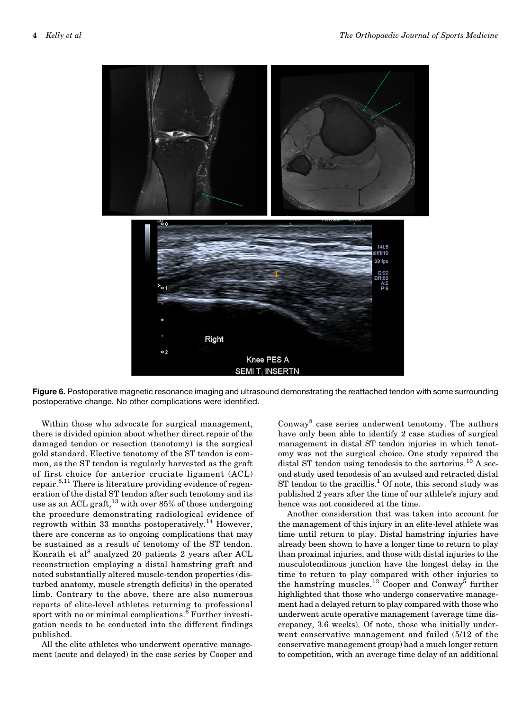

Figure 6. Postoperative magnetic resonance imaging and ultrasound demonstrating the reattached tendon with some surrounding postoperative change. No other complications were identified.

Within those who advocate for surgical management, there is divided opinion about whether direct repair of the damaged tendon or resection (tenotomy) is the surgical gold standard. Elective tenotomy of the ST tendon is common, as the ST tendon is regularly harvested as the graft of first choice for anterior cruciate ligament (ACL) repair.<sup>8,11</sup> There is literature providing evidence of regeneration of the distal ST tendon after such tenotomy and its use as an ACL graft,  $^{13}$  with over 85% of those undergoing the procedure demonstrating radiological evidence of regrowth within 33 months postoperatively.<sup>14</sup> However, there are concerns as to ongoing complications that may be sustained as a result of tenotomy of the ST tendon. Konrath et al<sup>8</sup> analyzed 20 patients 2 years after ACL reconstruction employing a distal hamstring graft and noted substantially altered muscle-tendon properties (disturbed anatomy, muscle strength deficits) in the operated limb. Contrary to the above, there are also numerous reports of elite-level athletes returning to professional sport with no or minimal complications.<sup>6</sup> Further investigation needs to be conducted into the different findings published.

All the elite athletes who underwent operative management (acute and delayed) in the case series by Cooper and Conway<sup>5</sup> case series underwent tenotomy. The authors have only been able to identify 2 case studies of surgical management in distal ST tendon injuries in which tenotomy was not the surgical choice. One study repaired the distal ST tendon using tenodesis to the sartorius.<sup>10</sup> A second study used tenodesis of an avulsed and retracted distal ST tendon to the gracillis.<sup>1</sup> Of note, this second study was published 2 years after the time of our athlete's injury and hence was not considered at the time.

Another consideration that was taken into account for the management of this injury in an elite-level athlete was time until return to play. Distal hamstring injuries have already been shown to have a longer time to return to play than proximal injuries, and those with distal injuries to the musculotendinous junction have the longest delay in the time to return to play compared with other injuries to the hamstring muscles.<sup>13</sup> Cooper and Conway<sup>5</sup> further highlighted that those who undergo conservative management had a delayed return to play compared with those who underwent acute operative management (average time discrepancy, 3.6 weeks). Of note, those who initially underwent conservative management and failed (5/12 of the conservative management group) had a much longer return to competition, with an average time delay of an additional